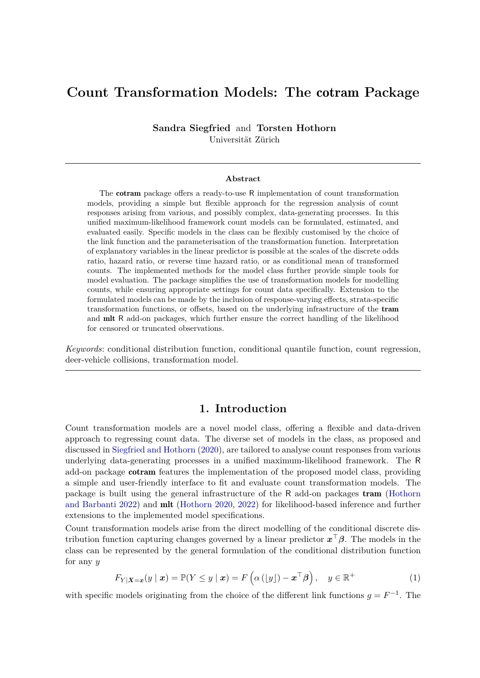# **Count Transformation Models: The** cotram **Package**

**Sandra Siegfried** and **Torsten Hothorn** Universität Zürich

#### **Abstract**

The cotram package offers a ready-to-use R implementation of count transformation models, providing a simple but flexible approach for the regression analysis of count responses arising from various, and possibly complex, data-generating processes. In this unified maximum-likelihood framework count models can be formulated, estimated, and evaluated easily. Specific models in the class can be flexibly customised by the choice of the link function and the parameterisation of the transformation function. Interpretation of explanatory variables in the linear predictor is possible at the scales of the discrete odds ratio, hazard ratio, or reverse time hazard ratio, or as conditional mean of transformed counts. The implemented methods for the model class further provide simple tools for model evaluation. The package simplifies the use of transformation models for modelling counts, while ensuring appropriate settings for count data specifically. Extension to the formulated models can be made by the inclusion of response-varying effects, strata-specific transformation functions, or offsets, based on the underlying infrastructure of the tram and mlt R add-on packages, which further ensure the correct handling of the likelihood for censored or truncated observations.

*Keywords*: conditional distribution function, conditional quantile function, count regression, deer-vehicle collisions, transformation model.

#### **1. Introduction**

Count transformation models are a novel model class, offering a flexible and data-driven approach to regressing count data. The diverse set of models in the class, as proposed and discussed in [Siegfried and Hothorn](#page-7-0) [\(2020\)](#page-7-0), are tailored to analyse count responses from various underlying data-generating processes in a unified maximum-likelihood framework. The R add-on package cotram features the implementation of the proposed model class, providing a simple and user-friendly interface to fit and evaluate count transformation models. The package is built using the general infrastructure of the R add-on packages tram [\(Hothorn](#page-7-1) [and Barbanti 2022\)](#page-7-1) and mlt [\(Hothorn 2020,](#page-7-2) [2022\)](#page-7-3) for likelihood-based inference and further extensions to the implemented model specifications.

Count transformation models arise from the direct modelling of the conditional discrete distribution function capturing changes governed by a linear predictor *x* <sup>⊤</sup>*β*. The models in the class can be represented by the general formulation of the conditional distribution function for any *y*

<span id="page-0-0"></span>
$$
F_{Y|X=x}(y \mid x) = \mathbb{P}(Y \le y \mid x) = F\left(\alpha\left(\lfloor y\rfloor\right) - x^{\top}\beta\right), \quad y \in \mathbb{R}^+\tag{1}
$$

with specific models originating from the choice of the different link functions  $g = F^{-1}$ . The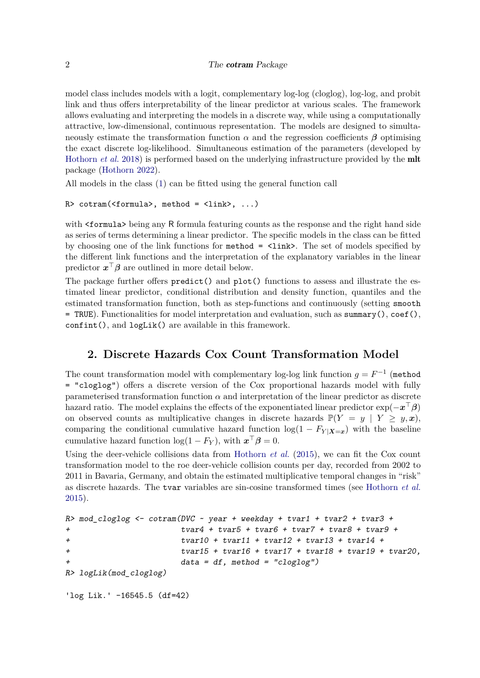#### 2 The cotram Package

model class includes models with a logit, complementary log-log (cloglog), log-log, and probit link and thus offers interpretability of the linear predictor at various scales. The framework allows evaluating and interpreting the models in a discrete way, while using a computationally attractive, low-dimensional, continuous representation. The models are designed to simultaneously estimate the transformation function  $\alpha$  and the regression coefficients  $\beta$  optimising the exact discrete log-likelihood. Simultaneous estimation of the parameters (developed by [Hothorn](#page-7-4) *et al.* [2018\)](#page-7-4) is performed based on the underlying infrastructure provided by the mlt package [\(Hothorn 2022\)](#page-7-3).

All models in the class [\(1\)](#page-0-0) can be fitted using the general function call

```
R> cotram(<formula>, method = <link>, ...)
```
with  $\leq$  formula> being any R formula featuring counts as the response and the right hand side as series of terms determining a linear predictor. The specific models in the class can be fitted by choosing one of the link functions for  $\text{method} = \text{link}$ . The set of models specified by the different link functions and the interpretation of the explanatory variables in the linear predictor  $x^{\top} \beta$  are outlined in more detail below.

The package further offers predict() and plot() functions to assess and illustrate the estimated linear predictor, conditional distribution and density function, quantiles and the estimated transformation function, both as step-functions and continuously (setting smooth = TRUE). Functionalities for model interpretation and evaluation, such as summary(),  $\text{coef}(\cdot)$ , confint(), and logLik() are available in this framework.

# **2. Discrete Hazards Cox Count Transformation Model**

<span id="page-1-0"></span>The count transformation model with complementary log-log link function  $g = F^{-1}$  (method = "cloglog") offers a discrete version of the Cox proportional hazards model with fully parameterised transformation function  $\alpha$  and interpretation of the linear predictor as discrete hazard ratio. The model explains the effects of the exponentiated linear predictor exp(−*x* <sup>⊤</sup>*β*) on observed counts as multiplicative changes in discrete hazards  $\mathbb{P}(Y = y | Y \geq y, x)$ , comparing the conditional cumulative hazard function  $log(1 - F_{Y|X=x})$  with the baseline cumulative hazard function  $\log(1 - F_Y)$ , with  $\mathbf{x}^\top \boldsymbol{\beta} = 0$ .

Using the deer-vehicle collisions data from [Hothorn](#page-7-5) *et al.* [\(2015\)](#page-7-5), we can fit the Cox count transformation model to the roe deer-vehicle collision counts per day, recorded from 2002 to 2011 in Bavaria, Germany, and obtain the estimated multiplicative temporal changes in "risk" as discrete hazards. The tvar variables are sin-cosine transformed times (see [Hothorn](#page-7-5) *et al.* [2015\)](#page-7-5).

```
R> mod_cloglog <- cotram(DVC ~ year + weekday + tvar1 + tvar2 + tvar3 +
+ tvar4 + tvar5 + tvar6 + tvar7 + tvar8 + tvar9 +
+ tvar10 + tvar11 + tvar12 + tvar13 + tvar14 +
+ tvar15 + tvar16 + tvar17 + tvar18 + tvar19 + tvar20,
+ data = df, method = "cloglog")
R> logLik(mod_cloglog)
'log Lik.' -16545.5 (df=42)
```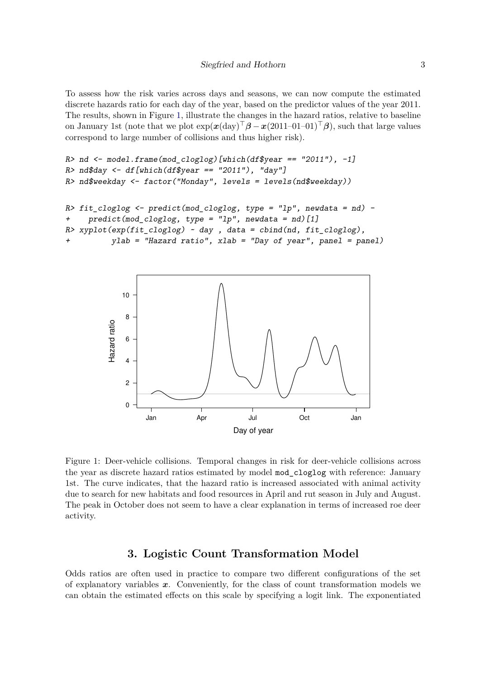To assess how the risk varies across days and seasons, we can now compute the estimated discrete hazards ratio for each day of the year, based on the predictor values of the year 2011. The results, shown in Figure [1,](#page-2-0) illustrate the changes in the hazard ratios, relative to baseline on January 1st (note that we plot  $\exp(\mathbf{x}(\text{day})^{\top}\boldsymbol{\beta} - \mathbf{x}(2011-01-01)^{\top}\boldsymbol{\beta})$ , such that large values correspond to large number of collisions and thus higher risk).

```
R> nd <- model.frame(mod_cloglog)[which(df$year == "2011"), -1]
R> nd$day <- df[which(df$year == "2011"), "day"]
R> nd$weekday <- factor("Monday", levels = levels(nd$weekday))
R> fit_cloglog <- predict(mod_cloglog, type = "lp", newdata = nd) -
+ predict(mod_cloglog, type = "lp", newdata = nd)[1]
```

```
R> xyplot(exp(fit_cloglog) ~ day , data = cbind(nd, fit_cloglog),
+ ylab = "Hazard ratio", xlab = "Day of year", panel = panel)
```


<span id="page-2-0"></span>Figure 1: Deer-vehicle collisions. Temporal changes in risk for deer-vehicle collisions across the year as discrete hazard ratios estimated by model mod\_cloglog with reference: January 1st. The curve indicates, that the hazard ratio is increased associated with animal activity due to search for new habitats and food resources in April and rut season in July and August. The peak in October does not seem to have a clear explanation in terms of increased roe deer activity.

### **3. Logistic Count Transformation Model**

Odds ratios are often used in practice to compare two different configurations of the set of explanatory variables *x*. Conveniently, for the class of count transformation models we can obtain the estimated effects on this scale by specifying a logit link. The exponentiated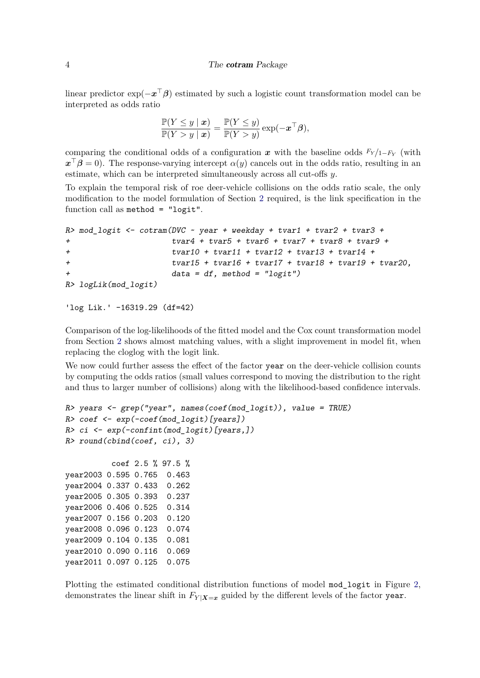#### 4 The cotram Package

linear predictor exp(−*x* <sup>⊤</sup>*β*) estimated by such a logistic count transformation model can be interpreted as odds ratio

$$
\frac{\mathbb{P}(Y \le y \mid \boldsymbol{x})}{\mathbb{P}(Y > y \mid \boldsymbol{x})} = \frac{\mathbb{P}(Y \le y)}{\mathbb{P}(Y > y)} \exp(-\boldsymbol{x}^\top \boldsymbol{\beta}),
$$

comparing the conditional odds of a configuration  $x$  with the baseline odds  $F_Y/_{1-F_Y}$  (with  $x^{\top}\beta = 0$ ). The response-varying intercept  $\alpha(y)$  cancels out in the odds ratio, resulting in an estimate, which can be interpreted simultaneously across all cut-offs *y*.

To explain the temporal risk of roe deer-vehicle collisions on the odds ratio scale, the only modification to the model formulation of Section [2](#page-1-0) required, is the link specification in the function call as method = "logit".

```
R> mod_logit <- cotram(DVC ~ year + weekday + tvar1 + tvar2 + tvar3 +
+ tvar4 + tvar5 + tvar6 + tvar7 + tvar8 + tvar9 +
+ tvar10 + tvar11 + tvar12 + tvar13 + tvar14 +
+ tvar15 + tvar16 + tvar17 + tvar18 + tvar19 + tvar20,
+ data = df, method = "logit")
R> logLik(mod_logit)
```

```
'log Lik.' -16319.29 (df=42)
```
Comparison of the log-likelihoods of the fitted model and the Cox count transformation model from Section [2](#page-1-0) shows almost matching values, with a slight improvement in model fit, when replacing the cloglog with the logit link.

We now could further assess the effect of the factor year on the deer-vehicle collision counts by computing the odds ratios (small values correspond to moving the distribution to the right and thus to larger number of collisions) along with the likelihood-based confidence intervals.

```
R> years <- grep("year", names(coef(mod_logit)), value = TRUE)
R> coef <- exp(-coef(mod_logit)[years])
R> ci <- exp(-confint(mod_logit)[years,])
R> round(cbind(coef, ci), 3)
         coef 2.5 % 97.5 %
year2003 0.595 0.765 0.463
year2004 0.337 0.433 0.262
year2005 0.305 0.393 0.237
year2006 0.406 0.525 0.314
year2007 0.156 0.203 0.120
year2008 0.096 0.123 0.074
```
year2009 0.104 0.135 0.081 year2010 0.090 0.116 0.069 year2011 0.097 0.125 0.075

Plotting the estimated conditional distribution functions of model mod\_logit in Figure [2,](#page-4-0) demonstrates the linear shift in  $F_{Y|X=x}$  guided by the different levels of the factor year.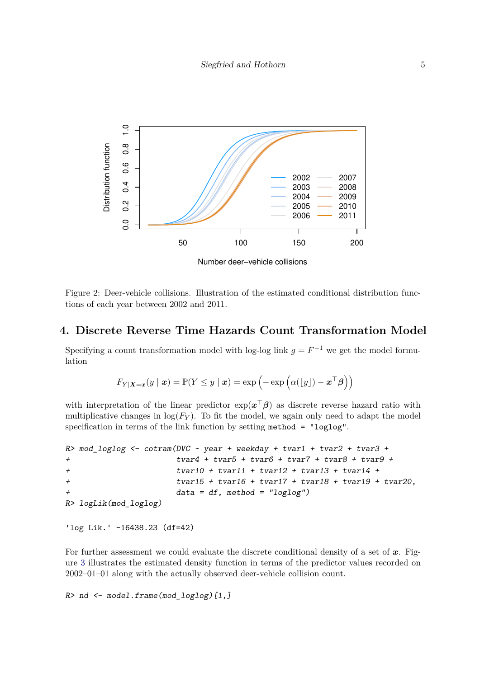

<span id="page-4-0"></span>Figure 2: Deer-vehicle collisions. Illustration of the estimated conditional distribution functions of each year between 2002 and 2011.

# **4. Discrete Reverse Time Hazards Count Transformation Model**

Specifying a count transformation model with log-log link  $g = F^{-1}$  we get the model formulation

$$
F_{Y|\mathbf{X}=\mathbf{x}}(y \mid \mathbf{x}) = \mathbb{P}(Y \leq y \mid \mathbf{x}) = \exp\left(-\exp\left(\alpha(\lfloor y \rfloor) - \mathbf{x}^\top \boldsymbol{\beta}\right)\right)
$$

with interpretation of the linear predictor  $\exp(x^{\top}\beta)$  as discrete reverse hazard ratio with multiplicative changes in  $log(F_Y)$ . To fit the model, we again only need to adapt the model specification in terms of the link function by setting method = "loglog".

```
R> mod_loglog <- cotram(DVC ~ year + weekday + tvar1 + tvar2 + tvar3 +
+ tvar4 + tvar5 + tvar6 + tvar7 + tvar8 + tvar9 +
+ tvar10 + tvar11 + tvar12 + tvar13 + tvar14 +
+ tvar15 + tvar16 + tvar17 + tvar18 + tvar19 + tvar20,
+ data = df, method = "loglog")
R> logLik(mod_loglog)
```

```
'log Lik.' -16438.23 (df=42)
```
For further assessment we could evaluate the discrete conditional density of a set of *x*. Figure [3](#page-5-0) illustrates the estimated density function in terms of the predictor values recorded on 2002–01–01 along with the actually observed deer-vehicle collision count.

```
R> nd <- model.frame(mod_loglog)[1,]
```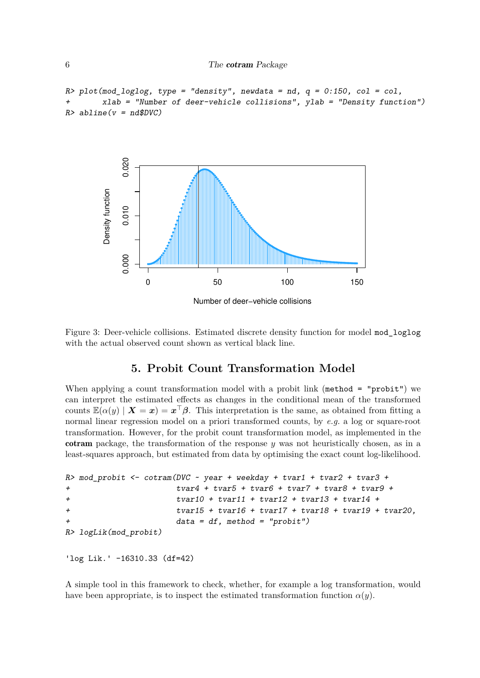```
R> plot(mod_loglog, type = "density", newdata = nd, q = 0:150, col = col,
        + xlab = "Number of deer-vehicle collisions", ylab = "Density function")
R> abline(v = nd$DVC)
```


<span id="page-5-0"></span>Figure 3: Deer-vehicle collisions. Estimated discrete density function for model mod\_loglog with the actual observed count shown as vertical black line.

# **5. Probit Count Transformation Model**

When applying a count transformation model with a probit link (method = "probit") we can interpret the estimated effects as changes in the conditional mean of the transformed counts  $\mathbb{E}(\alpha(y) | X = x) = x^{\top} \beta$ . This interpretation is the same, as obtained from fitting a normal linear regression model on a priori transformed counts, by *e.g.* a log or square-root transformation. However, for the probit count transformation model, as implemented in the cotram package, the transformation of the response *y* was not heuristically chosen, as in a least-squares approach, but estimated from data by optimising the exact count log-likelihood.

```
R> mod_probit <- cotram(DVC ~ year + weekday + tvar1 + tvar2 + tvar3 +
+ tvar4 + tvar5 + tvar6 + tvar7 + tvar8 + tvar9 +
+ tvar10 + tvar11 + tvar12 + tvar13 + tvar14 +
+ tvar15 + tvar16 + tvar17 + tvar18 + tvar19 + tvar20,
                   + data = df, method = "probit")
R> logLik(mod_probit)
```

```
'log Lik.' -16310.33 (df=42)
```
A simple tool in this framework to check, whether, for example a log transformation, would have been appropriate, is to inspect the estimated transformation function  $\alpha(y)$ .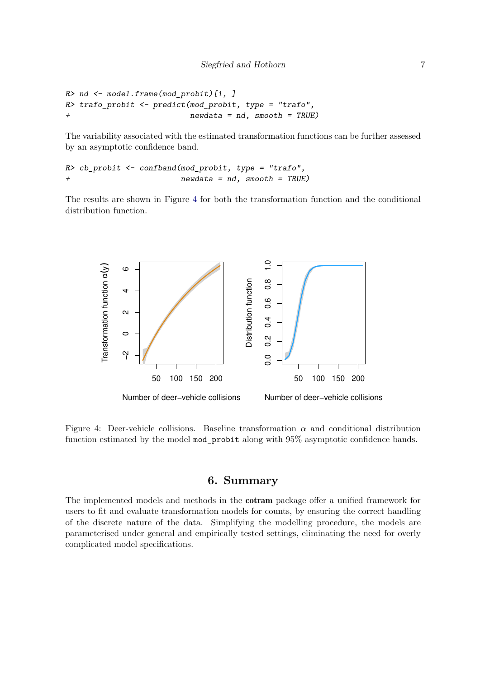```
R> nd <- model.frame(mod_probit)[1, ]
R> trafo_probit <- predict(mod_probit, type = "trafo",
+ newdata = nd, smooth = TRUE)
```
The variability associated with the estimated transformation functions can be further assessed by an asymptotic confidence band.

```
R> cb_probit <- confband(mod_probit, type = "trafo",
                          + newdata = nd, smooth = TRUE)
```
The results are shown in Figure [4](#page-6-0) for both the transformation function and the conditional distribution function.



<span id="page-6-0"></span>Figure 4: Deer-vehicle collisions. Baseline transformation *α* and conditional distribution function estimated by the model mod\_probit along with 95% asymptotic confidence bands.

# **6. Summary**

The implemented models and methods in the cotram package offer a unified framework for users to fit and evaluate transformation models for counts, by ensuring the correct handling of the discrete nature of the data. Simplifying the modelling procedure, the models are parameterised under general and empirically tested settings, eliminating the need for overly complicated model specifications.